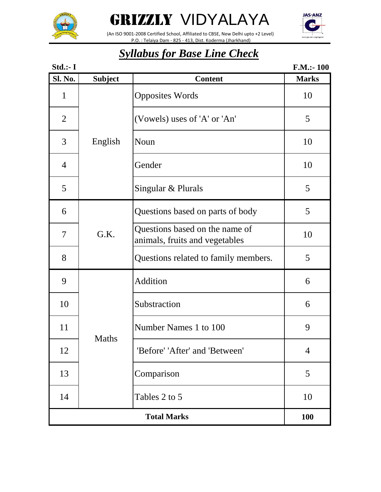



 (An ISO 9001-2008 Certified School, Affiliated to CBSE, New Delhi upto +2 Level) P.O. : Telaiya Dam - 825 - 413, Dist. Koderma (Jharkhand)



| Std.:- I       |                |                                                                  | $F.M.:-100$    |
|----------------|----------------|------------------------------------------------------------------|----------------|
| <b>Sl. No.</b> | <b>Subject</b> | <b>Content</b>                                                   | <b>Marks</b>   |
| $\mathbf{1}$   |                | <b>Opposites Words</b>                                           | 10             |
| $\overline{2}$ |                | (Vowels) uses of 'A' or 'An'                                     | 5              |
| 3              | English        | Noun                                                             | 10             |
| $\overline{4}$ |                | Gender                                                           | 10             |
| 5              |                | Singular & Plurals                                               | 5              |
| 6              |                | Questions based on parts of body                                 | 5              |
| 7              | G.K.           | Questions based on the name of<br>animals, fruits and vegetables | 10             |
| 8              |                | Questions related to family members.                             | 5              |
| 9              |                | Addition                                                         | 6              |
| 10             |                | Substraction                                                     | 6              |
| 11             |                | Number Names 1 to 100                                            | 9              |
| 12             | Maths          | 'Before' 'After' and 'Between'                                   | $\overline{4}$ |
| 13             |                | Comparison                                                       | 5              |
| 14             |                | Tables 2 to 5                                                    | 10             |
|                |                | <b>Total Marks</b>                                               | <b>100</b>     |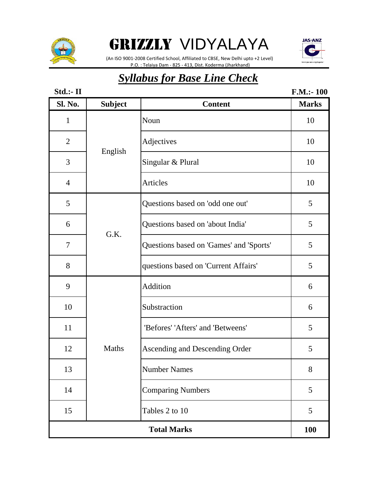



 (An ISO 9001-2008 Certified School, Affiliated to CBSE, New Delhi upto +2 Level) P.O. : Telaiya Dam - 825 - 413, Dist. Koderma (Jharkhand)

| Std.:- II      |                |                                         | $F.M.:-100$  |
|----------------|----------------|-----------------------------------------|--------------|
| <b>Sl. No.</b> | <b>Subject</b> | <b>Content</b>                          | <b>Marks</b> |
| $\mathbf{1}$   |                | Noun                                    | 10           |
| $\mathbf{2}$   |                | Adjectives                              | 10           |
| 3              | English        | Singular & Plural                       | 10           |
| $\overline{4}$ |                | Articles                                | 10           |
| 5              |                | Questions based on 'odd one out'        | 5            |
| 6              | G.K.           | Questions based on 'about India'        | 5            |
| $\overline{7}$ |                | Questions based on 'Games' and 'Sports' | 5            |
| 8              |                | questions based on 'Current Affairs'    | 5            |
| 9              |                | Addition                                | 6            |
| 10             |                | Substraction                            | 6            |
| 11             |                | 'Befores' 'Afters' and 'Betweens'       | 5            |
| 12             | Maths          | Ascending and Descending Order          | 5            |
| 13             |                | <b>Number Names</b>                     | 8            |
| 14             |                | <b>Comparing Numbers</b>                | 5            |
| 15             |                | Tables 2 to 10                          | 5            |
|                |                | <b>Total Marks</b>                      | <b>100</b>   |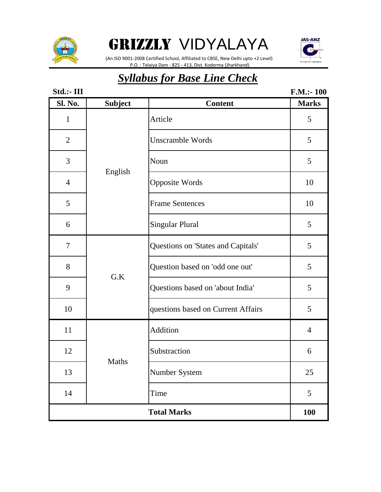



 (An ISO 9001-2008 Certified School, Affiliated to CBSE, New Delhi upto +2 Level) P.O. : Telaiya Dam - 825 - 413, Dist. Koderma (Jharkhand)

| Std.:- III                       |                |                                    | F.M.: 100      |  |
|----------------------------------|----------------|------------------------------------|----------------|--|
| Sl. No.                          | <b>Subject</b> | <b>Content</b>                     | <b>Marks</b>   |  |
| $\mathbf{1}$                     |                | Article                            | 5              |  |
| $\overline{2}$                   |                | <b>Unscramble Words</b>            | 5              |  |
| 3                                |                | Noun                               | 5              |  |
| $\overline{4}$                   | English        | <b>Opposite Words</b>              | 10             |  |
| 5                                |                | <b>Frame Sentences</b>             | 10             |  |
| 6                                |                | <b>Singular Plural</b>             | 5              |  |
| $\tau$                           |                | Questions on 'States and Capitals' | 5              |  |
| 8                                | G.K            | Question based on 'odd one out'    | 5              |  |
| 9                                |                | Questions based on 'about India'   | 5              |  |
| 10                               |                | questions based on Current Affairs | 5              |  |
| 11                               |                | Addition                           | $\overline{4}$ |  |
| 12                               | Maths          | Substraction                       | 6              |  |
| 13                               |                | Number System                      | 25             |  |
| 14                               |                | Time                               | 5              |  |
| <b>Total Marks</b><br><b>100</b> |                |                                    |                |  |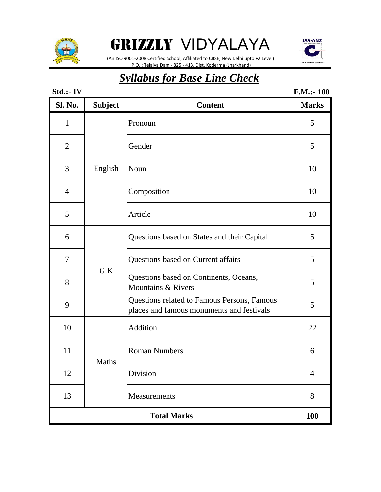



 (An ISO 9001-2008 Certified School, Affiliated to CBSE, New Delhi upto +2 Level) P.O. : Telaiya Dam - 825 - 413, Dist. Koderma (Jharkhand)

### *Syllabus for Base Line Check*

#### **Std.:- IV Sl. No. Subject Content Marks** 1 Pronoun 5 2 Gender 5 3 | English | Noun | 10 4 Composition 10 5 Article 10 6 Questions based on States and their Capital 5 7 | Questions based on Current affairs | 5 8 Questions based on Continents, Oceans, Questions based on Comments, Oceans, 5<br>Mountains & Rivers 9 Questions related to Famous Persons, Famous places and famous monuments and festivals 5 10 Addition 22 11 Roman Numbers 6 12 Division 4 13 Measurements 8 **100** Maths **Total Marks** English G.K **F.M.:- 100**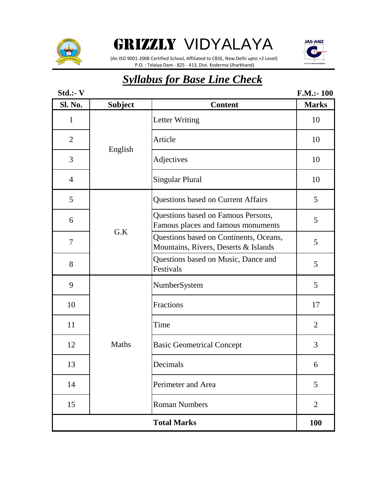

**JAS-ANZ** 

 (An ISO 9001-2008 Certified School, Affiliated to CBSE, New Delhi upto +2 Level) P.O. : Telaiya Dam - 825 - 413, Dist. Koderma (Jharkhand)

| Std.:- V                         |                |                                                                                | F.M.: 100      |  |  |
|----------------------------------|----------------|--------------------------------------------------------------------------------|----------------|--|--|
| Sl. No.                          | <b>Subject</b> | <b>Content</b>                                                                 | <b>Marks</b>   |  |  |
| 1                                |                | <b>Letter Writing</b>                                                          | 10             |  |  |
| $\overline{2}$                   |                | Article                                                                        | 10             |  |  |
| 3                                | English        | Adjectives                                                                     | 10             |  |  |
| $\overline{4}$                   |                | <b>Singular Plural</b>                                                         | 10             |  |  |
| 5                                |                | Questions based on Current Affairs                                             | 5              |  |  |
| 6                                |                | Questions based on Famous Persons,<br>Famous places and famous monuments       | 5              |  |  |
| 7                                | G.K            | Questions based on Continents, Oceans,<br>Mountains, Rivers, Deserts & Islands | 5              |  |  |
| 8                                |                | Questions based on Music, Dance and<br>Festivals                               | 5              |  |  |
| 9                                |                | NumberSystem                                                                   | 5              |  |  |
| 10                               |                | Fractions                                                                      | 17             |  |  |
| 11                               |                | Time                                                                           | $\overline{2}$ |  |  |
| 12                               | Maths          | <b>Basic Geometrical Concept</b>                                               | 3              |  |  |
| 13                               |                | Decimals                                                                       | 6              |  |  |
| 14                               |                | Perimeter and Area                                                             | 5              |  |  |
| 15                               |                | <b>Roman Numbers</b>                                                           | $\overline{2}$ |  |  |
| <b>Total Marks</b><br><b>100</b> |                |                                                                                |                |  |  |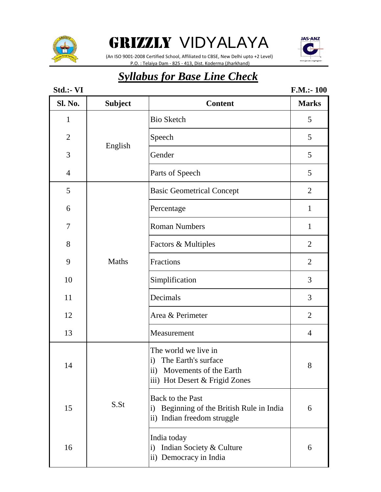

 (An ISO 9001-2008 Certified School, Affiliated to CBSE, New Delhi upto +2 Level) P.O. : Telaiya Dam - 825 - 413, Dist. Koderma (Jharkhand)



| Std.:- VI      |                |                                                                                                                                            | F.M.: 100      |
|----------------|----------------|--------------------------------------------------------------------------------------------------------------------------------------------|----------------|
| Sl. No.        | <b>Subject</b> | <b>Content</b>                                                                                                                             | <b>Marks</b>   |
| $\mathbf{1}$   |                | <b>Bio Sketch</b>                                                                                                                          | 5              |
| $\mathbf{2}$   |                | Speech                                                                                                                                     | 5              |
| 3              | English        | Gender                                                                                                                                     | 5              |
| $\overline{4}$ |                | Parts of Speech                                                                                                                            | 5              |
| 5              |                | <b>Basic Geometrical Concept</b>                                                                                                           | $\overline{2}$ |
| 6              |                | Percentage                                                                                                                                 | $\mathbf{1}$   |
| 7              |                | <b>Roman Numbers</b>                                                                                                                       | $\mathbf{1}$   |
| 8              |                | Factors & Multiples                                                                                                                        | $\overline{2}$ |
| 9              | <b>Maths</b>   | Fractions                                                                                                                                  | $\overline{2}$ |
| 10             |                | Simplification                                                                                                                             | 3              |
| 11             |                | Decimals                                                                                                                                   | 3              |
| 12             |                | Area & Perimeter                                                                                                                           | $\overline{2}$ |
| 13             |                | Measurement                                                                                                                                | $\overline{4}$ |
| 14             |                | The world we live in<br>The Earth's surface<br>$\mathbf{i}$<br>$\mathbf{ii}$ )<br>Movements of the Earth<br>iii) Hot Desert & Frigid Zones | $\Omega$<br>8  |
| 15             | S.St           | <b>Back to the Past</b><br>Beginning of the British Rule in India<br>i)<br>ii) Indian freedom struggle                                     | 6              |
| 16             |                | India today<br>Indian Society & Culture<br>$\mathbf{i}$<br>ii) Democracy in India                                                          | 6              |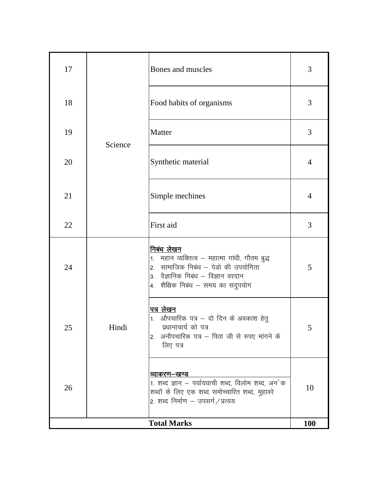| 17 |         | Bones and muscles                                                                                                                                                                     | 3              |
|----|---------|---------------------------------------------------------------------------------------------------------------------------------------------------------------------------------------|----------------|
| 18 |         | Food habits of organisms                                                                                                                                                              | 3              |
| 19 | Science | Matter                                                                                                                                                                                | 3              |
| 20 |         | Synthetic material                                                                                                                                                                    | $\overline{4}$ |
| 21 |         | Simple mechines                                                                                                                                                                       | $\overline{4}$ |
| 22 |         | First aid                                                                                                                                                                             | 3              |
| 24 |         | <u>निबंध लेखन</u><br>1. महान व्यक्तित्व – महात्मा गांधी, गौतम बुद्ध<br>2. सामाजिक निबंध – पेडो की उपयोगिता<br>3. वैज्ञानिक निबंध – विज्ञान वरदान<br>4. शैक्षिक निबंध – समय का सदुपयोग | 5              |
| 25 | Hindi   | <u>पत्र लेखन</u><br>औपचारिक पत्र - दो दिन के अवकाश हेतु<br>1.<br>प्रधानाचार्य को पत्र<br>2. अनौपचारिक पत्र – पिता जी से रुपए मांगने के<br>लिए पत्र                                    | 5              |
| 26 |         | व्याकरण–खण्ड<br>1. शब्द ज्ञान – पर्यायवाची शब्द, विलोम शब्द, अन`क<br>शब्दों के लिए एक शब्द समोच्चारित शब्द, मुहावरे<br>2. शब्द निर्माण – उपसर्ग/प्रत्यय                               | 10             |
|    |         | <b>Total Marks</b>                                                                                                                                                                    | 100            |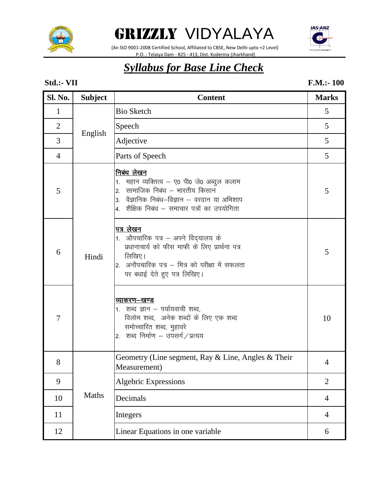

 (An ISO 9001-2008 Certified School, Affiliated to CBSE, New Delhi upto +2 Level) P.O. : Telaiya Dam - 825 - 413, Dist. Koderma (Jharkhand)



#### *Syllabus for Base Line Check*

#### **Std.:- VII F.M.:- 100**

| Sl. No.        | <b>Subject</b> | <b>Content</b>                                                                                                                                                                                           | <b>Marks</b>   |
|----------------|----------------|----------------------------------------------------------------------------------------------------------------------------------------------------------------------------------------------------------|----------------|
| $\mathbf{1}$   |                | <b>Bio Sketch</b>                                                                                                                                                                                        | 5              |
| $\overline{2}$ |                | Speech                                                                                                                                                                                                   | 5              |
| 3              | English        | Adjective                                                                                                                                                                                                | 5              |
| $\overline{4}$ |                | Parts of Speech                                                                                                                                                                                          | 5              |
| 5              |                | निबंध लेखन<br>महान व्यक्तित्व – ए0 पी0 जे0 अब्दुल कलाम<br>1.<br>सामाजिक निबंध – भारतीय किसान<br>2.<br>वैज्ञानिक निबंध–विज्ञान – वरदान या अभिशाप<br>3.<br>शैक्षिक निबंध – समाचार पत्रों का उपयोगिता<br>4. | 5              |
| 6              | Hindi          | <u>पत्र लेखन</u><br>1. औपचारिक पत्र – अपने विद्यालय के<br>प्रधानाचार्य को फीस माफी के लिए प्रार्थना पत्र<br>लिखिए।<br>अनौपचारिक पत्र – मित्र को परीक्षा में सफलता<br>2.<br>पर बधाई देते हुए पत्र लिखिए।  | 5              |
| $\overline{7}$ |                | <u>व्याकरण–खण्ड</u><br>1.   शब्द ज्ञान – पर्यायवाची शब्द,<br>विलोम शब्द, अनेक शब्दों के लिए एक शब्द<br>समोच्चारित शब्द, मुहावरे<br>2. शब्द निर्माण – उपसर्ग / प्रत्यय                                    | 10             |
| 8              |                | Geometry (Line segment, Ray $\&$ Line, Angles $\&$ Their<br>Measurement)                                                                                                                                 | 4              |
| 9              |                | <b>Algebric Expressions</b>                                                                                                                                                                              | $\overline{2}$ |
| 10             | Maths          | Decimals                                                                                                                                                                                                 | $\overline{4}$ |
| 11             |                | Integers                                                                                                                                                                                                 | $\overline{4}$ |
| 12             |                | Linear Equations in one variable                                                                                                                                                                         | 6              |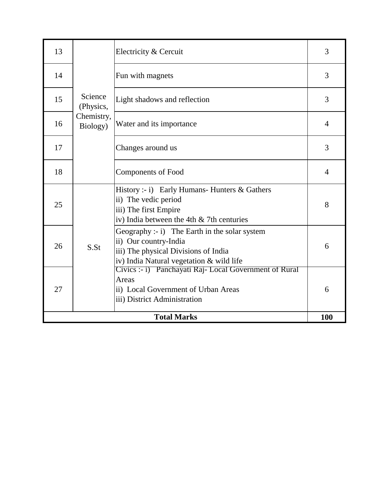| 13                 |                        | Electricity & Cercuit                                                                                                                                      | 3              |  |
|--------------------|------------------------|------------------------------------------------------------------------------------------------------------------------------------------------------------|----------------|--|
| 14                 |                        | Fun with magnets                                                                                                                                           | 3              |  |
| 15                 | Science<br>(Physics,   | Light shadows and reflection                                                                                                                               | 3              |  |
| 16                 | Chemistry,<br>Biology) | Water and its importance                                                                                                                                   | $\overline{4}$ |  |
| 17                 |                        | Changes around us                                                                                                                                          | 3              |  |
| 18                 |                        | <b>Components of Food</b>                                                                                                                                  | $\overline{4}$ |  |
| 25                 |                        | History :- i) Early Humans- Hunters $\&$ Gathers<br>ii) The vedic period<br>iii) The first Empire<br>iv) India between the 4th $&$ 7th centuries           | 8              |  |
| 26                 | S.St                   | Geography :- i) The Earth in the solar system<br>ii) Our country-India<br>iii) The physical Divisions of India<br>iv) India Natural vegetation & wild life | 6              |  |
| 27                 |                        | Civics :- i) Panchayati Raj-Local Government of Rural<br>Areas<br>ii) Local Government of Urban Areas<br>iii) District Administration                      | 6              |  |
| <b>Total Marks</b> |                        |                                                                                                                                                            |                |  |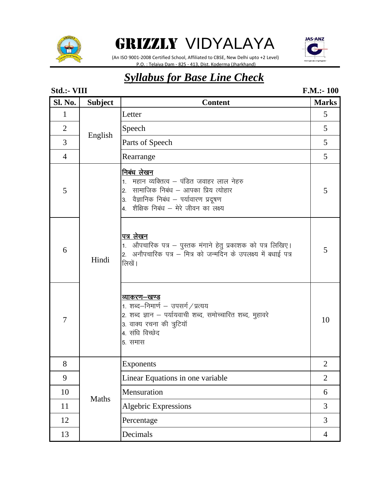

GRIZZLY VIDYALAYA (An ISO 9001-2008 Certified School, Affiliated to CBSE, New Delhi upto +2 Level)

P.O. : Telaiya Dam - 825 - 413, Dist. Koderma (Jharkhand)

**JAS-ANZ** 

## *Syllabus for Base Line Check*

#### **Sl. No. Subject Content Marks** 1 Letter 5 2 Speech 5 3 Parts of Speech 5 4 Rearrange 5 5 निबंध लेखन $\,$ 1. महान व्यक्तित्व – पंडित जवाहर लाल नेहरु 2. सामाजिक निबंध – आपका प्रिय त्योहार  $\vert$ 3. वैज्ञानिक निबंध – पर्यावारण प्रदूषण 4. शैक्षिक निबंध – मेरे जीवन का लक्ष्य 5 6 पत्र लेखन $\,$ 1. औपचारिक पत्र – पुस्तक मंगाने हेतु प्रकाशक को पत्र लिखिए।  $\vert$ 2. अनौपचारिक पत्र – मित्र को जन्मदिन के उपलक्ष्य में बधाई पत्र लिखें । 5 7 <u>व्याकरण–खण्ड</u>  $\vert$ 1. शब्द–निमार्ण – उपसर्ग $\hspace{.1cm}/$ प्रत्यय |2. शब्द ज्ञान – पर्यायवाची शब्द, समोच्चारित शब्द, मुहावरे 3. वाक्य रचना की त्रुटियॉ 4. संधि विच्छेद 5. समास 10 8 Exponents 2 9 | Linear Equations in one variable | 2 10 Mensuration 6 11 | Algebric Expressions | 3 12 Percentage 3 13 Decimals 24 **Std.:- VIII** Hindi Maths English **F.M.:- 100**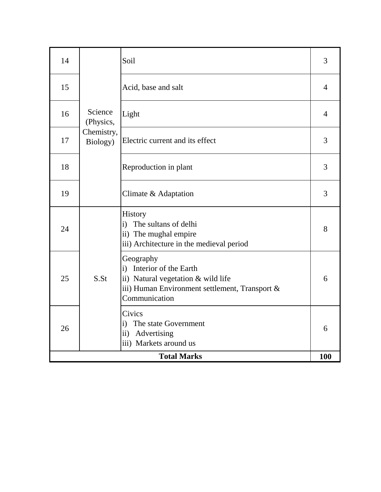| Acid, base and salt<br>15<br>$\overline{4}$<br>Science<br>Light<br>16<br>4<br>(Physics,<br>Chemistry,<br>Electric current and its effect<br>3<br>17<br>Biology)<br>18<br>3<br>Reproduction in plant<br>19<br>3<br>Climate & Adaptation<br>History<br>The sultans of delhi<br>$\mathbf{i}$<br>24<br>8<br>ii) The mughal empire<br>iii) Architecture in the medieval period<br>Geography<br>Interior of the Earth<br>$\mathbf{i}$<br>25<br>S.S <sub>t</sub><br>ii) Natural vegetation & wild life<br>6<br>iii) Human Environment settlement, Transport &<br>Communication<br>Civics<br>The state Government<br>i)<br>26<br>6<br>Advertising<br>$\rm ii)$<br>iii) Markets around us | 14 | Soil | 3 |
|----------------------------------------------------------------------------------------------------------------------------------------------------------------------------------------------------------------------------------------------------------------------------------------------------------------------------------------------------------------------------------------------------------------------------------------------------------------------------------------------------------------------------------------------------------------------------------------------------------------------------------------------------------------------------------|----|------|---|
|                                                                                                                                                                                                                                                                                                                                                                                                                                                                                                                                                                                                                                                                                  |    |      |   |
|                                                                                                                                                                                                                                                                                                                                                                                                                                                                                                                                                                                                                                                                                  |    |      |   |
|                                                                                                                                                                                                                                                                                                                                                                                                                                                                                                                                                                                                                                                                                  |    |      |   |
|                                                                                                                                                                                                                                                                                                                                                                                                                                                                                                                                                                                                                                                                                  |    |      |   |
|                                                                                                                                                                                                                                                                                                                                                                                                                                                                                                                                                                                                                                                                                  |    |      |   |
|                                                                                                                                                                                                                                                                                                                                                                                                                                                                                                                                                                                                                                                                                  |    |      |   |
|                                                                                                                                                                                                                                                                                                                                                                                                                                                                                                                                                                                                                                                                                  |    |      |   |
| <b>Total Marks</b><br>100                                                                                                                                                                                                                                                                                                                                                                                                                                                                                                                                                                                                                                                        |    |      |   |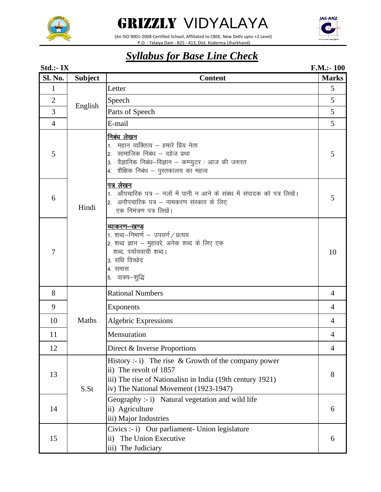



 (An ISO 9001-2008 Certified School, Affiliated to CBSE, New Delhi upto +2 Level) P.O. : Telaiya Dam - 825 - 413, Dist. Koderma (Jharkhand)



| Std.:- IX      |                |                                                                                                                                                                                                             | F.M.: 100      |
|----------------|----------------|-------------------------------------------------------------------------------------------------------------------------------------------------------------------------------------------------------------|----------------|
| <b>Sl. No.</b> | <b>Subject</b> | <b>Content</b>                                                                                                                                                                                              | <b>Marks</b>   |
| 1              |                | Letter                                                                                                                                                                                                      | 5              |
| $\overline{2}$ |                | Speech                                                                                                                                                                                                      | 5              |
| 3              | English        | Parts of Speech                                                                                                                                                                                             | 5              |
| $\overline{4}$ |                | E-mail                                                                                                                                                                                                      | 5              |
| 5              |                | निबंध लेखन<br>1.  महान व्यक्तित्व – हमारे प्रिय नेता<br>सामाजिक निबंध – दहेज प्रथा<br>$\overline{2}$ .<br>वैज्ञानिक निबंध—विज्ञान — कम्प्युटर : आज की जरुरत<br>3.<br>4.  शैक्षिक निबंध – पुस्तकालय का महत्व | 5              |
| 6              | Hindi          | पत्र लेखन<br>1. औपचारिक पत्र – नलों में पानी न आने के संबंध में संपादक को पत्र लिखें।<br>अनौपचारिक पत्र – नामकरण संस्कार के लिए<br>एक निमंत्रण पत्र लिखें।                                                  | 5              |
| $\overline{7}$ |                | <u>व्याकरण–खण्ड</u><br>1. शब्द–निमार्ण – उपसर्ग / प्रत्यय<br>2. शब्द ज्ञान – मुहावरे, अनेक शब्द के लिए एक<br>शब्द, पर्यायवाची शब्द।<br>3. संधि विच्छेद<br>4. समास<br>5. वाक्य—शुद्धि                        | 10             |
| 8              |                | <b>Rational Numbers</b>                                                                                                                                                                                     | 4              |
| 9              |                | Exponents                                                                                                                                                                                                   | $\overline{4}$ |
| 10             | Maths          | <b>Algebric Expressions</b>                                                                                                                                                                                 | 4              |
| 11             |                | Mensuration                                                                                                                                                                                                 | 4              |
| 12             |                | Direct & Inverse Proportions                                                                                                                                                                                | $\overline{4}$ |
| 13             | S.St           | History :- i) The rise $& Growth$ of the company power<br>ii) The revolt of 1857<br>iii) The rise of Nationalism in India (19th century 1921)<br>iv) The National Movement (1923-1947)                      | 8              |
| 14             |                | Geography :- i) Natural vegetation and wild life<br>ii) Agriculture<br>iii) Major Industries                                                                                                                | 6              |
| 15             |                | Civics :- i) Our parliament- Union legislature<br>ii) The Union Executive<br>iii) The Judiciary                                                                                                             | 6              |